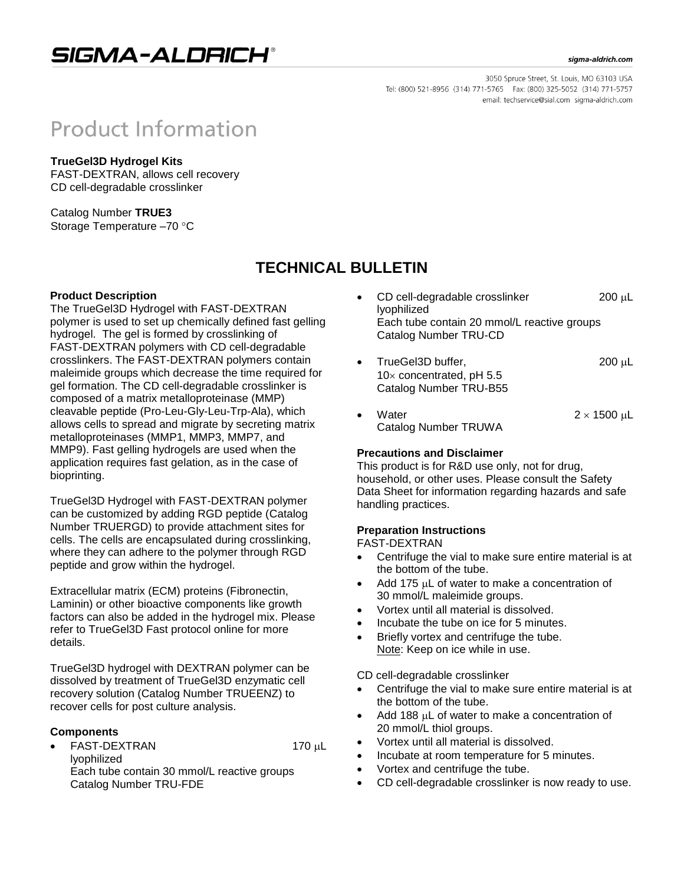## SIGMA-ALDRICH®

#### sigma-aldrich.com

3050 Spruce Street, St. Louis, MO 63103 USA Tel: (800) 521-8956 (314) 771-5765 Fax: (800) 325-5052 (314) 771-5757 email: techservice@sial.com sigma-aldrich.com

# **Product Information**

### **TrueGel3D Hydrogel Kits**

FAST-DEXTRAN, allows cell recovery CD cell-degradable crosslinker

Catalog Number **TRUE3** Storage Temperature -70 °C

## **TECHNICAL BULLETIN**

### **Product Description**

The TrueGel3D Hydrogel with FAST-DEXTRAN polymer is used to set up chemically defined fast gelling hydrogel. The gel is formed by crosslinking of FAST-DEXTRAN polymers with CD cell-degradable crosslinkers. The FAST-DEXTRAN polymers contain maleimide groups which decrease the time required for gel formation. The CD cell-degradable crosslinker is composed of a matrix metalloproteinase (MMP) cleavable peptide (Pro-Leu-Gly-Leu-Trp-Ala), which allows cells to spread and migrate by secreting matrix metalloproteinases (MMP1, MMP3, MMP7, and MMP9). Fast gelling hydrogels are used when the application requires fast gelation, as in the case of bioprinting.

TrueGel3D Hydrogel with FAST-DEXTRAN polymer can be customized by adding RGD peptide (Catalog Number TRUERGD) to provide attachment sites for cells. The cells are encapsulated during crosslinking, where they can adhere to the polymer through RGD peptide and grow within the hydrogel.

Extracellular matrix (ECM) proteins (Fibronectin, Laminin) or other bioactive components like growth factors can also be added in the hydrogel mix. Please refer to TrueGel3D Fast protocol online for more details.

TrueGel3D hydrogel with DEXTRAN polymer can be dissolved by treatment of TrueGel3D enzymatic cell recovery solution (Catalog Number TRUEENZ) to recover cells for post culture analysis.

#### **Components**

FAST-DEXTRAN 170 µL lyophilized Each tube contain 30 mmol/L reactive groups Catalog Number TRU-FDE

- CD cell-degradable crosslinker  $200 \mu L$ lyophilized Each tube contain 20 mmol/L reactive groups Catalog Number TRU-CD
- TrueGel3D buffer,  $200 \mu L$  $10\times$  concentrated, pH 5.5 Catalog Number TRU-B55
- Water  $2 \times 1500 \text{ }\mu\text{L}$ Catalog Number TRUWA

### **Precautions and Disclaimer**

This product is for R&D use only, not for drug, household, or other uses. Please consult the Safety Data Sheet for information regarding hazards and safe handling practices.

### **Preparation Instructions**

FAST-DEXTRAN

- Centrifuge the vial to make sure entire material is at the bottom of the tube.
- Add 175  $\mu$ L of water to make a concentration of 30 mmol/L maleimide groups.
- Vortex until all material is dissolved.
- Incubate the tube on ice for 5 minutes.
- Briefly vortex and centrifuge the tube. Note: Keep on ice while in use.

CD cell-degradable crosslinker

- Centrifuge the vial to make sure entire material is at the bottom of the tube.
- Add 188 LL of water to make a concentration of 20 mmol/L thiol groups.
- Vortex until all material is dissolved.
- Incubate at room temperature for 5 minutes.
- Vortex and centrifuge the tube.
- CD cell-degradable crosslinker is now ready to use.